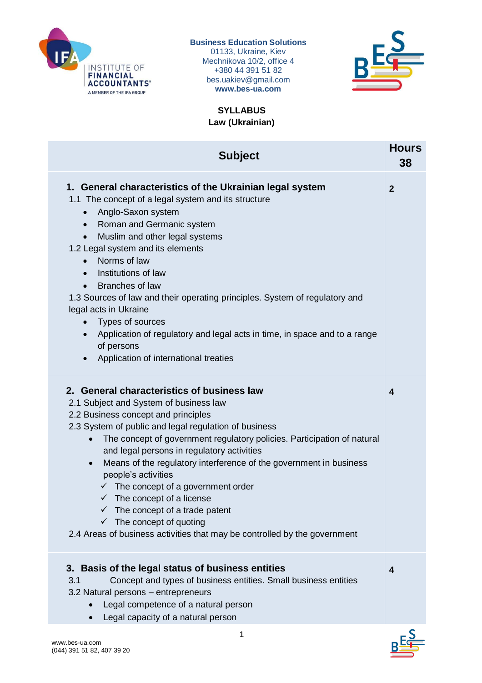

## **Business Education Solutions**

01133, Ukraine, Kiev Mechnikova 10/2, office 4 +380 44 391 51 82 bes.uakiev@gmail.com **www.bes-ua.com**



**SYLLABUS Law (Ukrainian)**

| <b>Subject</b>                                                                                                                                                                                                                                                                                                                                                                                                                                                                                                                                                                                                                                                                                    | <b>Hours</b><br>38 |
|---------------------------------------------------------------------------------------------------------------------------------------------------------------------------------------------------------------------------------------------------------------------------------------------------------------------------------------------------------------------------------------------------------------------------------------------------------------------------------------------------------------------------------------------------------------------------------------------------------------------------------------------------------------------------------------------------|--------------------|
| 1. General characteristics of the Ukrainian legal system<br>1.1 The concept of a legal system and its structure<br>Anglo-Saxon system<br>$\bullet$<br>Roman and Germanic system<br>$\bullet$<br>Muslim and other legal systems<br>1.2 Legal system and its elements<br>Norms of law<br>$\bullet$<br>Institutions of law<br>$\bullet$<br><b>Branches of law</b><br>1.3 Sources of law and their operating principles. System of regulatory and<br>legal acts in Ukraine<br>• Types of sources<br>Application of regulatory and legal acts in time, in space and to a range<br>$\bullet$<br>of persons<br>Application of international treaties                                                     | $\mathbf{2}$       |
| 2. General characteristics of business law<br>2.1 Subject and System of business law<br>2.2 Business concept and principles<br>2.3 System of public and legal regulation of business<br>The concept of government regulatory policies. Participation of natural<br>$\bullet$<br>and legal persons in regulatory activities<br>Means of the regulatory interference of the government in business<br>$\bullet$<br>people's activities<br>$\checkmark$ The concept of a government order<br>$\checkmark$ The concept of a license<br>$\checkmark$ The concept of a trade patent<br>$\checkmark$ The concept of quoting<br>2.4 Areas of business activities that may be controlled by the government | 4                  |
| 3. Basis of the legal status of business entities<br>Concept and types of business entities. Small business entities<br>3.1<br>3.2 Natural persons - entrepreneurs<br>Legal competence of a natural person<br>Legal capacity of a natural person                                                                                                                                                                                                                                                                                                                                                                                                                                                  | 4                  |

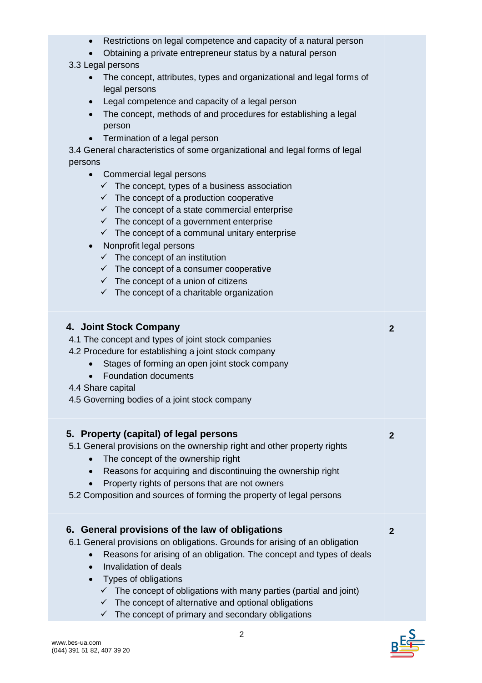| Restrictions on legal competence and capacity of a natural person<br>Obtaining a private entrepreneur status by a natural person                                                                                                                                                                                                                                                                                                                                                                                                                                                       |              |
|----------------------------------------------------------------------------------------------------------------------------------------------------------------------------------------------------------------------------------------------------------------------------------------------------------------------------------------------------------------------------------------------------------------------------------------------------------------------------------------------------------------------------------------------------------------------------------------|--------------|
| 3.3 Legal persons<br>• The concept, attributes, types and organizational and legal forms of<br>legal persons                                                                                                                                                                                                                                                                                                                                                                                                                                                                           |              |
| Legal competence and capacity of a legal person<br>$\bullet$<br>The concept, methods of and procedures for establishing a legal<br>$\bullet$<br>person                                                                                                                                                                                                                                                                                                                                                                                                                                 |              |
| Termination of a legal person<br>3.4 General characteristics of some organizational and legal forms of legal<br>persons                                                                                                                                                                                                                                                                                                                                                                                                                                                                |              |
| Commercial legal persons<br>$\bullet$<br>$\checkmark$ The concept, types of a business association<br>$\checkmark$ The concept of a production cooperative<br>$\checkmark$ The concept of a state commercial enterprise<br>$\checkmark$ The concept of a government enterprise<br>$\checkmark$ The concept of a communal unitary enterprise<br>Nonprofit legal persons<br>$\checkmark$ The concept of an institution<br>$\checkmark$ The concept of a consumer cooperative<br>$\checkmark$ The concept of a union of citizens<br>$\checkmark$ The concept of a charitable organization |              |
| 4. Joint Stock Company<br>4.1 The concept and types of joint stock companies<br>4.2 Procedure for establishing a joint stock company<br>Stages of forming an open joint stock company<br>Foundation documents<br>4.4 Share capital<br>4.5 Governing bodies of a joint stock company                                                                                                                                                                                                                                                                                                    | $\mathbf{2}$ |
| 5. Property (capital) of legal persons<br>5.1 General provisions on the ownership right and other property rights<br>The concept of the ownership right<br>Reasons for acquiring and discontinuing the ownership right<br>$\bullet$<br>Property rights of persons that are not owners<br>5.2 Composition and sources of forming the property of legal persons                                                                                                                                                                                                                          | $\mathbf{2}$ |
| General provisions of the law of obligations<br>6.<br>6.1 General provisions on obligations. Grounds for arising of an obligation<br>Reasons for arising of an obligation. The concept and types of deals<br>$\bullet$<br>Invalidation of deals<br>$\bullet$<br>Types of obligations<br>$\bullet$<br>$\checkmark$ The concept of obligations with many parties (partial and joint)<br>$\checkmark$ The concept of alternative and optional obligations                                                                                                                                 | $\mathbf{2}$ |

 $B = \frac{S}{S}$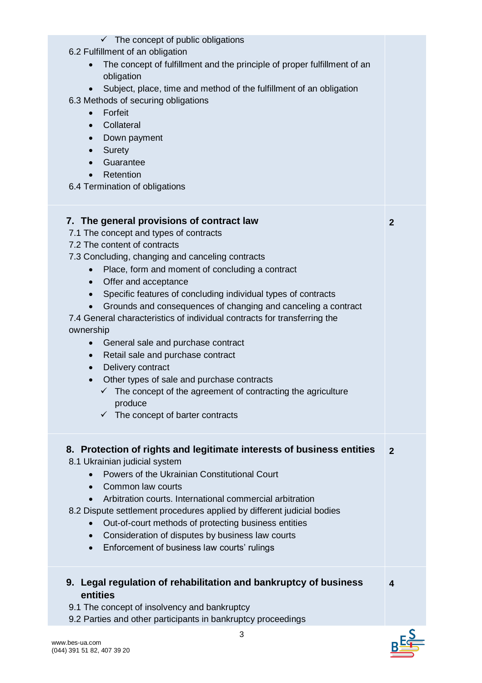| $\checkmark$ The concept of public obligations<br>6.2 Fulfillment of an obligation                                                                       |              |
|----------------------------------------------------------------------------------------------------------------------------------------------------------|--------------|
| The concept of fulfillment and the principle of proper fulfillment of an                                                                                 |              |
| obligation<br>Subject, place, time and method of the fulfillment of an obligation                                                                        |              |
| 6.3 Methods of securing obligations                                                                                                                      |              |
| Forfeit<br>$\bullet$<br>Collateral<br>$\bullet$                                                                                                          |              |
| Down payment<br>$\bullet$                                                                                                                                |              |
| Surety<br>$\bullet$                                                                                                                                      |              |
| Guarantee<br>$\bullet$<br>Retention<br>$\bullet$                                                                                                         |              |
| 6.4 Termination of obligations                                                                                                                           |              |
| 7. The general provisions of contract law                                                                                                                | $\mathbf{2}$ |
| 7.1 The concept and types of contracts                                                                                                                   |              |
| 7.2 The content of contracts<br>7.3 Concluding, changing and canceling contracts                                                                         |              |
| Place, form and moment of concluding a contract<br>$\bullet$                                                                                             |              |
| Offer and acceptance<br>$\bullet$                                                                                                                        |              |
| Specific features of concluding individual types of contracts<br>$\bullet$<br>Grounds and consequences of changing and canceling a contract<br>$\bullet$ |              |
| 7.4 General characteristics of individual contracts for transferring the                                                                                 |              |
| ownership                                                                                                                                                |              |
| General sale and purchase contract<br>$\bullet$<br>Retail sale and purchase contract<br>$\bullet$                                                        |              |
| Delivery contract<br>$\bullet$                                                                                                                           |              |
| Other types of sale and purchase contracts                                                                                                               |              |
| $\checkmark$ The concept of the agreement of contracting the agriculture<br>produce                                                                      |              |
| The concept of barter contracts<br>$\checkmark$                                                                                                          |              |
| 8. Protection of rights and legitimate interests of business entities                                                                                    | $\mathbf{2}$ |
| 8.1 Ukrainian judicial system                                                                                                                            |              |
| Powers of the Ukrainian Constitutional Court<br>Common law courts<br>$\bullet$                                                                           |              |
| Arbitration courts. International commercial arbitration                                                                                                 |              |
| 8.2 Dispute settlement procedures applied by different judicial bodies                                                                                   |              |
| Out-of-court methods of protecting business entities<br>Consideration of disputes by business law courts<br>$\bullet$                                    |              |
| Enforcement of business law courts' rulings<br>$\bullet$                                                                                                 |              |
| 9. Legal regulation of rehabilitation and bankruptcy of business                                                                                         | 4            |
| entities                                                                                                                                                 |              |
| 9.1 The concept of insolvency and bankruptcy<br>9.2 Parties and other participants in bankruptcy proceedings                                             |              |
| 3                                                                                                                                                        |              |

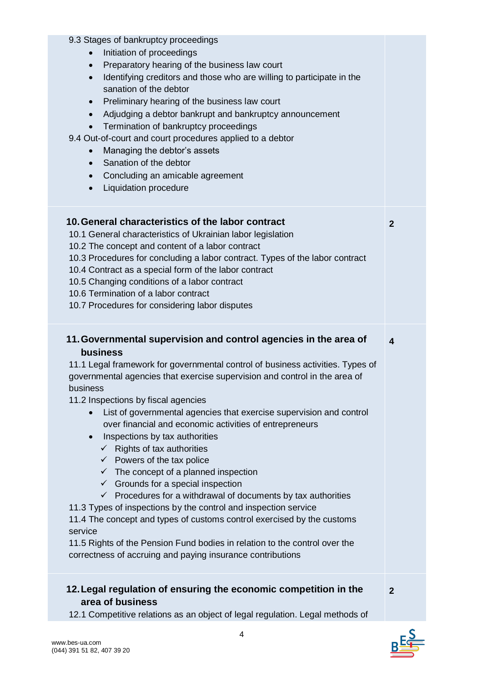| 9.3 Stages of bankruptcy proceedings                                                                                                                                  |                  |
|-----------------------------------------------------------------------------------------------------------------------------------------------------------------------|------------------|
| Initiation of proceedings<br>$\bullet$                                                                                                                                |                  |
| Preparatory hearing of the business law court<br>$\bullet$                                                                                                            |                  |
| Identifying creditors and those who are willing to participate in the<br>$\bullet$                                                                                    |                  |
| sanation of the debtor                                                                                                                                                |                  |
| Preliminary hearing of the business law court<br>$\bullet$                                                                                                            |                  |
| Adjudging a debtor bankrupt and bankruptcy announcement<br>$\bullet$                                                                                                  |                  |
| Termination of bankruptcy proceedings<br>$\bullet$                                                                                                                    |                  |
| 9.4 Out-of-court and court procedures applied to a debtor                                                                                                             |                  |
| Managing the debtor's assets<br>$\bullet$                                                                                                                             |                  |
| Sanation of the debtor<br>$\bullet$                                                                                                                                   |                  |
| Concluding an amicable agreement<br>$\bullet$                                                                                                                         |                  |
| Liquidation procedure<br>$\bullet$                                                                                                                                    |                  |
|                                                                                                                                                                       |                  |
| 10. General characteristics of the labor contract                                                                                                                     | $\overline{2}$   |
| 10.1 General characteristics of Ukrainian labor legislation                                                                                                           |                  |
| 10.2 The concept and content of a labor contract                                                                                                                      |                  |
| 10.3 Procedures for concluding a labor contract. Types of the labor contract                                                                                          |                  |
| 10.4 Contract as a special form of the labor contract                                                                                                                 |                  |
| 10.5 Changing conditions of a labor contract                                                                                                                          |                  |
| 10.6 Termination of a labor contract<br>10.7 Procedures for considering labor disputes                                                                                |                  |
|                                                                                                                                                                       |                  |
|                                                                                                                                                                       |                  |
| 11. Governmental supervision and control agencies in the area of<br>business                                                                                          | $\boldsymbol{4}$ |
| 11.1 Legal framework for governmental control of business activities. Types of<br>governmental agencies that exercise supervision and control in the area of          |                  |
| business                                                                                                                                                              |                  |
| 11.2 Inspections by fiscal agencies                                                                                                                                   |                  |
| List of governmental agencies that exercise supervision and control                                                                                                   |                  |
| over financial and economic activities of entrepreneurs<br>$\bullet$                                                                                                  |                  |
| Inspections by tax authorities                                                                                                                                        |                  |
| $\checkmark$ Rights of tax authorities                                                                                                                                |                  |
| $\checkmark$ Powers of the tax police                                                                                                                                 |                  |
| $\checkmark$ The concept of a planned inspection<br>$\checkmark$ Grounds for a special inspection                                                                     |                  |
| $\checkmark$ Procedures for a withdrawal of documents by tax authorities                                                                                              |                  |
|                                                                                                                                                                       |                  |
| 11.3 Types of inspections by the control and inspection service                                                                                                       |                  |
| 11.4 The concept and types of customs control exercised by the customs<br>service                                                                                     |                  |
| 11.5 Rights of the Pension Fund bodies in relation to the control over the                                                                                            |                  |
| correctness of accruing and paying insurance contributions                                                                                                            |                  |
|                                                                                                                                                                       |                  |
| 12. Legal regulation of ensuring the economic competition in the<br>area of business<br>12.1 Competitive relations as an object of legal regulation. Legal methods of | $\mathbf{2}$     |